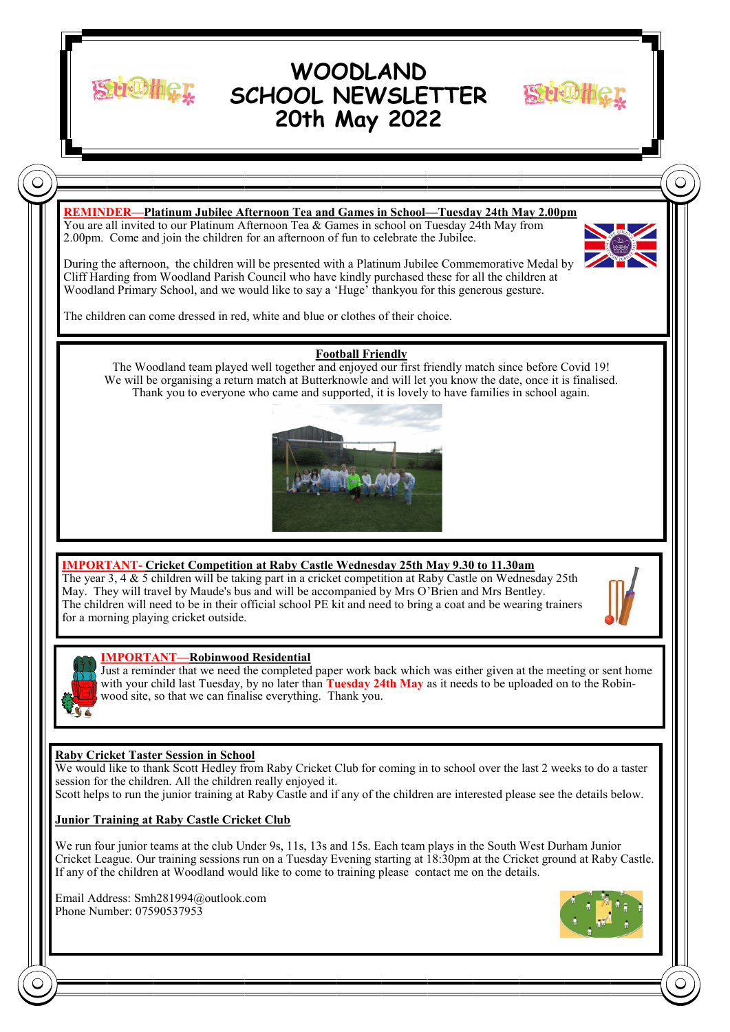

# **WOODLAND SCHOOL NEWSLETTER 20th May 2022**



# **REMINDER—Platinum Jubilee Afternoon Tea and Games in School—Tuesday 24th May 2.00pm**

You are all invited to our Platinum Afternoon Tea & Games in school on Tuesday 24th May from 2.00pm. Come and join the children for an afternoon of fun to celebrate the Jubilee.

During the afternoon, the children will be presented with a Platinum Jubilee Commemorative Medal by Cliff Harding from Woodland Parish Council who have kindly purchased these for all the children at Woodland Primary School, and we would like to say a 'Huge' thankyou for this generous gesture.

The children can come dressed in red, white and blue or clothes of their choice.

## **Football Friendly**

The Woodland team played well together and enjoyed our first friendly match since before Covid 19! We will be organising a return match at Butterknowle and will let you know the date, once it is finalised. Thank you to everyone who came and supported, it is lovely to have families in school again.



## **IMPORTANT- Cricket Competition at Raby Castle Wednesday 25th May 9.30 to 11.30am**

The year 3, 4 & 5 children will be taking part in a cricket competition at Raby Castle on Wednesday 25th May. They will travel by Maude's bus and will be accompanied by Mrs O'Brien and Mrs Bentley. The children will need to be in their official school PE kit and need to bring a coat and be wearing trainers for a morning playing cricket outside.



### **IMPORTANT—Robinwood Residential**

Just a reminder that we need the completed paper work back which was either given at the meeting or sent home with your child last Tuesday, by no later than **Tuesday 24th May** as it needs to be uploaded on to the Robinwood site, so that we can finalise everything. Thank you.

## **Raby Cricket Taster Session in School**

We would like to thank Scott Hedley from Raby Cricket Club for coming in to school over the last 2 weeks to do a taster session for the children. All the children really enjoyed it.

Scott helps to run the junior training at Raby Castle and if any of the children are interested please see the details below.

### **Junior Training at Raby Castle Cricket Club**

We run four junior teams at the club Under 9s, 11s, 13s and 15s. Each team plays in the South West Durham Junior Cricket League. Our training sessions run on a Tuesday Evening starting at 18:30pm at the Cricket ground at Raby Castle. If any of the children at Woodland would like to come to training please contact me on the details.

Email Address: Smh281994@outlook.com Phone Number: 07590537953